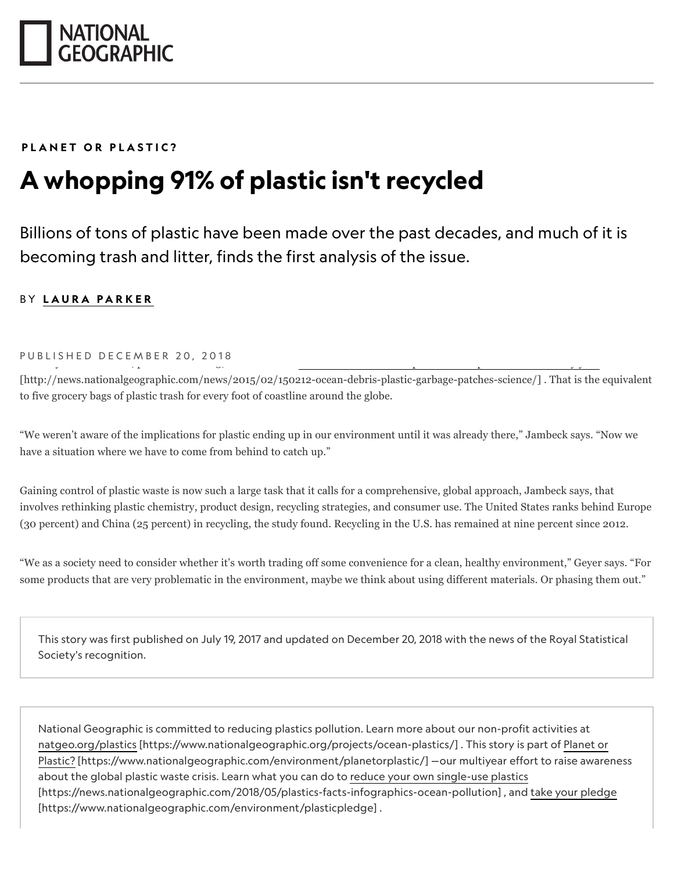

## *[PLANET OR PLASTIC?](http://nationalgeographic.com/environment/planetorplastic)*

## *A whopping 91% of plastic isn't recycled*

*Billions of tons of plastic have been made over the past decades, and much of it is becoming trash and litter, finds the first analysis of the issue.*

## *BY [LAURA PARKER](https://www.nationalgeographic.com/contributors/p/laura-parker.html)*

## PUBLISHED DECEMBER 20, 2018

[\[http://news.nationalgeographic.com/news/2015/02/150212-ocean-debris-plastic-garbage-patches-science/\] . That is the](http://news.nationalgeographic.com/news/2015/02/150212-ocean-debris-plastic-garbage-patches-science/) equivalent to five grocery bags of plastic trash for every foot of coastline around the globe.

"We weren't aware of the implications for plastic ending up in our environment until it was already there," Jambeck says. "Now we have a situation where we have to come from behind to catch up."

Gaining control of plastic waste is now such a large task that it calls for a comprehensive, global approach, Jambeck says, that involves rethinking plastic chemistry, product design, recycling strategies, and consumer use. The United States ranks behind Europe (30 percent) and China (25 percent) in recycling, the study found. Recycling in the U.S. has remained at nine percent since 2012.

"We as a society need to consider whether it's worth trading off some convenience for a clean, healthy environment," Geyer says. "For some products that are very problematic in the environment, maybe we think about using different materials. Or phasing them out."

*This story was first published on July 19, 2017 and updated on December 20, 2018 with the news of the Royal Statistical Society's recognition.*

*National Geographic is committed to reducing plastics pollution. Learn more about our non-profit activities at [natgeo.org/plastics \[https://www.nationalgeographic.org/projects/ocean-plastics/\] .](https://www.nationalgeographic.org/projects/ocean-plastics/) This story is part of Planet or [Plastic? \[https://www.nationalgeographic.com/environment/planetorplastic/\] —our multiyear effort to raise aware](https://www.nationalgeographic.com/environment/planetorplastic/)ness [about the global plastic waste crisis. Learn what you can do to reduce your own single-use plastics](https://news.nationalgeographic.com/2018/05/plastics-facts-infographics-ocean-pollution) [\[https://news.nationalgeographic.com/2018/05/plastics-facts-infographics-ocean-pollution\] , and take your pledge](https://www.nationalgeographic.com/environment/plasticpledge) [https://www.nationalgeographic.com/environment/plasticpledge] .*